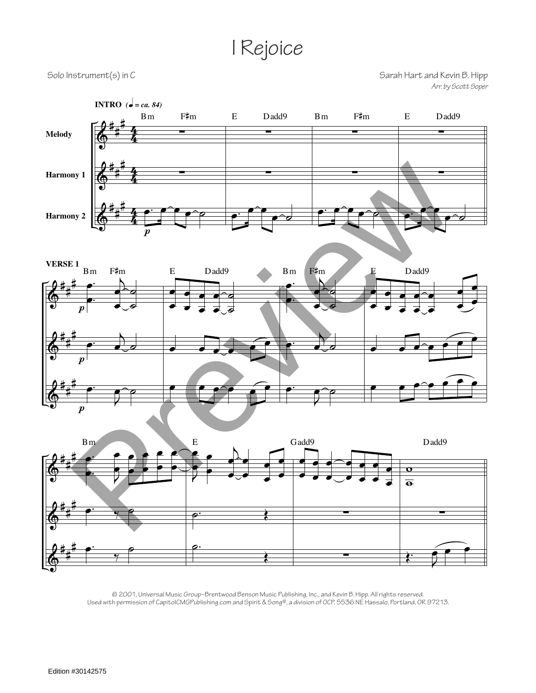## I Rejoice

Solo Instrument(s) in C<br>Sarah Hart and Kevin B. Hipp *Arr. by Scott Soper*







© 2001, Universal Music Group–Brentwood Benson Music Publishing, Inc., and Kevin B. Hipp. All rights reserved. Used with permission of CapitolCMGPublishing.com and Spirit & Song®, a division of OCP, 5536 NE Hassalo, Portland, OR 97213.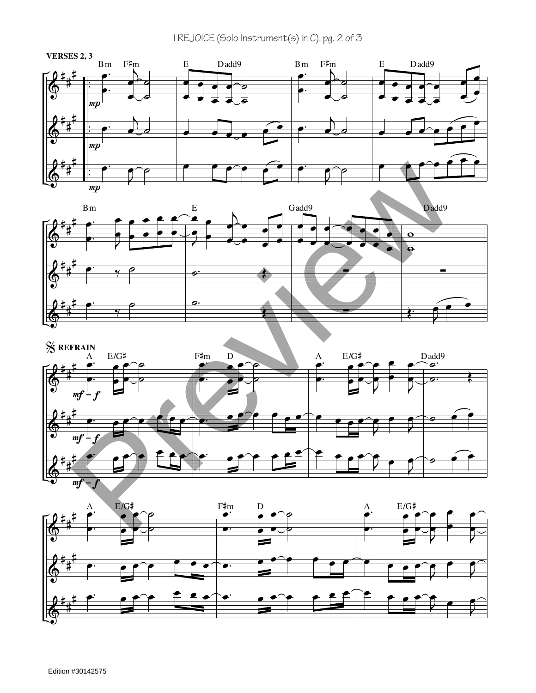I REJOICE (Solo Instrument(s) in C), pg. 2 of 3